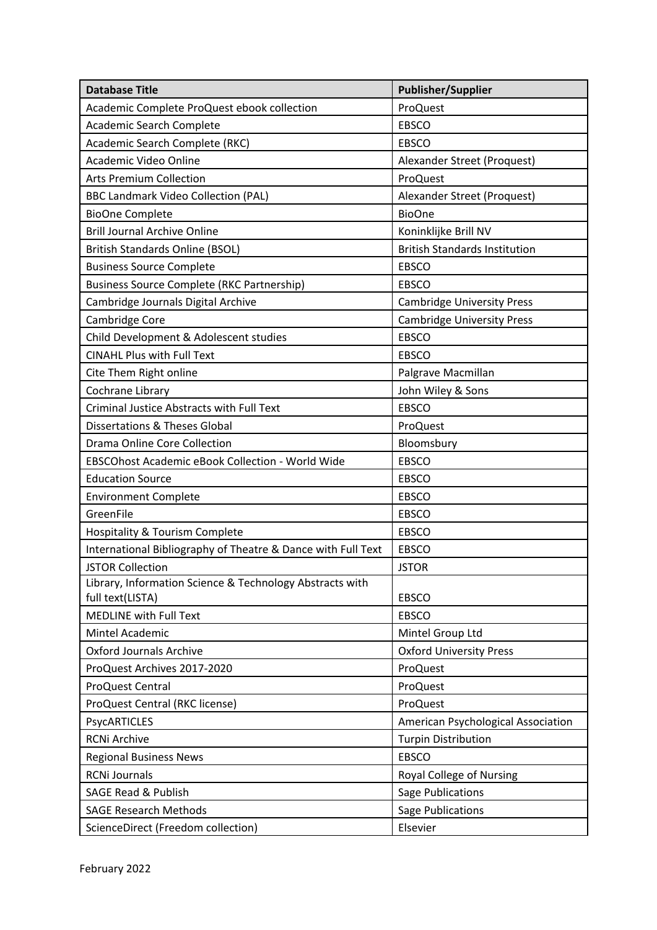| <b>Database Title</b>                                        | <b>Publisher/Supplier</b>            |
|--------------------------------------------------------------|--------------------------------------|
| Academic Complete ProQuest ebook collection                  | ProQuest                             |
| Academic Search Complete                                     | <b>EBSCO</b>                         |
| Academic Search Complete (RKC)                               | <b>EBSCO</b>                         |
| Academic Video Online                                        | Alexander Street (Proquest)          |
| <b>Arts Premium Collection</b>                               | ProQuest                             |
| <b>BBC Landmark Video Collection (PAL)</b>                   | Alexander Street (Proquest)          |
| <b>BioOne Complete</b>                                       | <b>BioOne</b>                        |
| <b>Brill Journal Archive Online</b>                          | Koninklijke Brill NV                 |
| <b>British Standards Online (BSOL)</b>                       | <b>British Standards Institution</b> |
| <b>Business Source Complete</b>                              | <b>EBSCO</b>                         |
| <b>Business Source Complete (RKC Partnership)</b>            | <b>EBSCO</b>                         |
| Cambridge Journals Digital Archive                           | <b>Cambridge University Press</b>    |
| Cambridge Core                                               | <b>Cambridge University Press</b>    |
| Child Development & Adolescent studies                       | <b>EBSCO</b>                         |
| <b>CINAHL Plus with Full Text</b>                            | <b>EBSCO</b>                         |
| Cite Them Right online                                       | Palgrave Macmillan                   |
| Cochrane Library                                             | John Wiley & Sons                    |
| <b>Criminal Justice Abstracts with Full Text</b>             | <b>EBSCO</b>                         |
| <b>Dissertations &amp; Theses Global</b>                     | ProQuest                             |
| <b>Drama Online Core Collection</b>                          | Bloomsbury                           |
| EBSCOhost Academic eBook Collection - World Wide             | <b>EBSCO</b>                         |
| <b>Education Source</b>                                      | <b>EBSCO</b>                         |
| <b>Environment Complete</b>                                  | <b>EBSCO</b>                         |
| GreenFile                                                    | <b>EBSCO</b>                         |
| <b>Hospitality &amp; Tourism Complete</b>                    | <b>EBSCO</b>                         |
| International Bibliography of Theatre & Dance with Full Text | <b>EBSCO</b>                         |
| <b>JSTOR Collection</b>                                      | <b>JSTOR</b>                         |
| Library, Information Science & Technology Abstracts with     |                                      |
| full text(LISTA)                                             | <b>EBSCO</b>                         |
| MEDLINE with Full Text                                       | <b>EBSCO</b>                         |
| Mintel Academic                                              | Mintel Group Ltd                     |
| <b>Oxford Journals Archive</b>                               | <b>Oxford University Press</b>       |
| ProQuest Archives 2017-2020                                  | ProQuest                             |
| ProQuest Central                                             | ProQuest                             |
| ProQuest Central (RKC license)                               | ProQuest                             |
| PsycARTICLES                                                 | American Psychological Association   |
| <b>RCNi Archive</b>                                          | <b>Turpin Distribution</b>           |
| <b>Regional Business News</b>                                | <b>EBSCO</b>                         |
| <b>RCNi Journals</b>                                         | Royal College of Nursing             |
| <b>SAGE Read &amp; Publish</b>                               | <b>Sage Publications</b>             |
| <b>SAGE Research Methods</b>                                 | <b>Sage Publications</b>             |
| ScienceDirect (Freedom collection)                           | Elsevier                             |